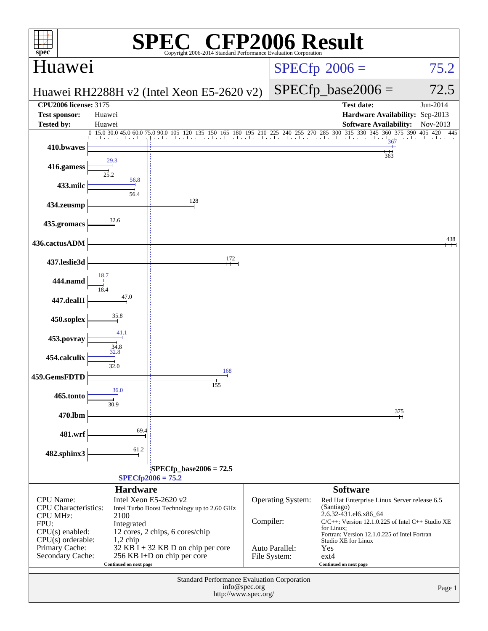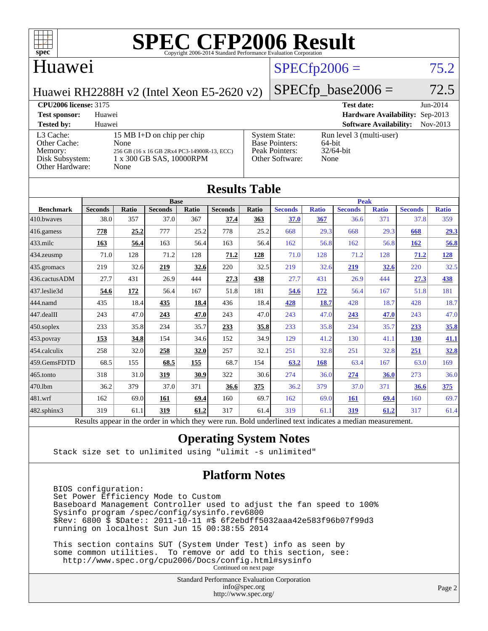

## Huawei

# $SPECfp2006 = 75.2$  $SPECfp2006 = 75.2$

Huawei RH2288H v2 (Intel Xeon E5-2620 v2)

### $SPECfp\_base2006 = 72.5$

#### **[CPU2006 license:](http://www.spec.org/auto/cpu2006/Docs/result-fields.html#CPU2006license)** 3175 **[Test date:](http://www.spec.org/auto/cpu2006/Docs/result-fields.html#Testdate)** Jun-2014 **[Test sponsor:](http://www.spec.org/auto/cpu2006/Docs/result-fields.html#Testsponsor)** Huawei **[Hardware Availability:](http://www.spec.org/auto/cpu2006/Docs/result-fields.html#HardwareAvailability)** Sep-2013 **[Tested by:](http://www.spec.org/auto/cpu2006/Docs/result-fields.html#Testedby)** Huawei **[Software Availability:](http://www.spec.org/auto/cpu2006/Docs/result-fields.html#SoftwareAvailability)** Nov-2013 [L3 Cache:](http://www.spec.org/auto/cpu2006/Docs/result-fields.html#L3Cache) 15 MB I+D on chip per chip<br>Other Cache: None [Other Cache:](http://www.spec.org/auto/cpu2006/Docs/result-fields.html#OtherCache) [Memory:](http://www.spec.org/auto/cpu2006/Docs/result-fields.html#Memory) 256 GB (16 x 16 GB 2Rx4 PC3-14900R-13, ECC) [Disk Subsystem:](http://www.spec.org/auto/cpu2006/Docs/result-fields.html#DiskSubsystem) 1 x 300 GB SAS, 10000RPM [Other Hardware:](http://www.spec.org/auto/cpu2006/Docs/result-fields.html#OtherHardware) None [System State:](http://www.spec.org/auto/cpu2006/Docs/result-fields.html#SystemState) Run level 3 (multi-user)<br>Base Pointers: 64-bit [Base Pointers:](http://www.spec.org/auto/cpu2006/Docs/result-fields.html#BasePointers) 64-bit<br>Peak Pointers: 32/64-bit [Peak Pointers:](http://www.spec.org/auto/cpu2006/Docs/result-fields.html#PeakPointers) [Other Software:](http://www.spec.org/auto/cpu2006/Docs/result-fields.html#OtherSoftware) None

| <b>Results Table</b> |                                                                                                          |              |                |              |                |       |                |              |                |              |                |              |  |
|----------------------|----------------------------------------------------------------------------------------------------------|--------------|----------------|--------------|----------------|-------|----------------|--------------|----------------|--------------|----------------|--------------|--|
|                      | <b>Base</b>                                                                                              |              |                |              |                |       |                | <b>Peak</b>  |                |              |                |              |  |
| <b>Benchmark</b>     | <b>Seconds</b>                                                                                           | <b>Ratio</b> | <b>Seconds</b> | <b>Ratio</b> | <b>Seconds</b> | Ratio | <b>Seconds</b> | <b>Ratio</b> | <b>Seconds</b> | <b>Ratio</b> | <b>Seconds</b> | <b>Ratio</b> |  |
| 410.bwayes           | 38.0                                                                                                     | 357          | 37.0           | 367          | 37.4           | 363   | 37.0           | 367          | 36.6           | 371          | 37.8           | 359          |  |
| 416.gamess           | 778                                                                                                      | 25.2         | 777            | 25.2         | 778            | 25.2  | 668            | 29.3         | 668            | 29.3         | 668            | 29.3         |  |
| $433$ .milc          | 163                                                                                                      | 56.4         | 163            | 56.4         | 163            | 56.4  | 162            | 56.8         | 162            | 56.8         | 162            | 56.8         |  |
| $434$ . zeusmp       | 71.0                                                                                                     | 128          | 71.2           | 128          | 71.2           | 128   | 71.0           | 128          | 71.2           | 128          | 71.2           | <u>128</u>   |  |
| 435.gromacs          | 219                                                                                                      | 32.6         | 219            | 32.6         | 220            | 32.5  | 219            | 32.6         | 219            | 32.6         | 220            | 32.5         |  |
| 436.cactusADM        | 27.7                                                                                                     | 431          | 26.9           | 444          | 27.3           | 438   | 27.7           | 431          | 26.9           | 444          | 27.3           | <u>438</u>   |  |
| 437.leslie3d         | 54.6                                                                                                     | 172          | 56.4           | 167          | 51.8           | 181   | 54.6           | 172          | 56.4           | 167          | 51.8           | 181          |  |
| 444.namd             | 435                                                                                                      | 18.4         | 435            | 18.4         | 436            | 18.4  | 428            | 18.7         | 428            | 18.7         | 428            | 18.7         |  |
| $447$ .dealII        | 243                                                                                                      | 47.0         | 243            | 47.0         | 243            | 47.0  | 243            | 47.0         | 243            | 47.0         | 243            | 47.0         |  |
| $450$ .soplex        | 233                                                                                                      | 35.8         | 234            | 35.7         | 233            | 35.8  | 233            | 35.8         | 234            | 35.7         | 233            | 35.8         |  |
| $453$ .povray        | 153                                                                                                      | 34.8         | 154            | 34.6         | 152            | 34.9  | 129            | 41.2         | 130            | 41.1         | 130            | 41.1         |  |
| 454.calculix         | 258                                                                                                      | 32.0         | 258            | 32.0         | 257            | 32.1  | 251            | 32.8         | 251            | 32.8         | 251            | 32.8         |  |
| 459.GemsFDTD         | 68.5                                                                                                     | 155          | 68.5           | 155          | 68.7           | 154   | 63.2           | 168          | 63.4           | 167          | 63.0           | 169          |  |
| 465.tonto            | 318                                                                                                      | 31.0         | 319            | 30.9         | 322            | 30.6  | 274            | 36.0         | 274            | 36.0         | 273            | 36.0         |  |
| 470.1bm              | 36.2                                                                                                     | 379          | 37.0           | 371          | 36.6           | 375   | 36.2           | 379          | 37.0           | 371          | 36.6           | 375          |  |
| 481.wrf              | 162                                                                                                      | 69.0         | 161            | 69.4         | 160            | 69.7  | 162            | 69.0         | <b>161</b>     | 69.4         | 160            | 69.7         |  |
| 482.sphinx3          | 319                                                                                                      | 61.1         | 319            | 61.2         | 317            | 61.4  | 319            | 61.1         | 319            | 61.2         | 317            | 61.4         |  |
|                      | Results appear in the order in which they were run. Bold underlined text indicates a median measurement. |              |                |              |                |       |                |              |                |              |                |              |  |

#### **[Operating System Notes](http://www.spec.org/auto/cpu2006/Docs/result-fields.html#OperatingSystemNotes)**

Stack size set to unlimited using "ulimit -s unlimited"

#### **[Platform Notes](http://www.spec.org/auto/cpu2006/Docs/result-fields.html#PlatformNotes)**

 BIOS configuration: Set Power Efficiency Mode to Custom Baseboard Management Controller used to adjust the fan speed to 100% Sysinfo program /spec/config/sysinfo.rev6800 \$Rev: 6800 \$ \$Date:: 2011-10-11 #\$ 6f2ebdff5032aaa42e583f96b07f99d3 running on localhost Sun Jun 15 00:38:55 2014

 This section contains SUT (System Under Test) info as seen by some common utilities. To remove or add to this section, see: <http://www.spec.org/cpu2006/Docs/config.html#sysinfo> Continued on next page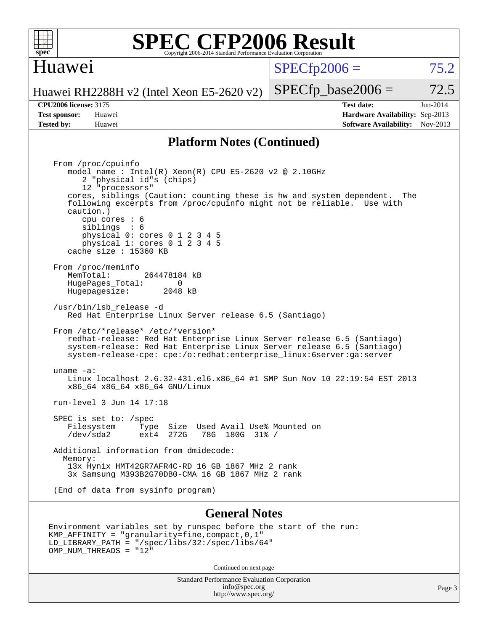

## Huawei

 $SPECTp2006 = 75.2$ 

Huawei RH2288H v2 (Intel Xeon E5-2620 v2)

**[Tested by:](http://www.spec.org/auto/cpu2006/Docs/result-fields.html#Testedby)** Huawei **[Software Availability:](http://www.spec.org/auto/cpu2006/Docs/result-fields.html#SoftwareAvailability)** Nov-2013

**[CPU2006 license:](http://www.spec.org/auto/cpu2006/Docs/result-fields.html#CPU2006license)** 3175 **[Test date:](http://www.spec.org/auto/cpu2006/Docs/result-fields.html#Testdate)** Jun-2014 **[Test sponsor:](http://www.spec.org/auto/cpu2006/Docs/result-fields.html#Testsponsor)** Huawei **[Hardware Availability:](http://www.spec.org/auto/cpu2006/Docs/result-fields.html#HardwareAvailability)** Sep-2013

 $SPECTp\_base2006 = 72.5$ 

#### **[Platform Notes \(Continued\)](http://www.spec.org/auto/cpu2006/Docs/result-fields.html#PlatformNotes)**

 From /proc/cpuinfo model name : Intel(R) Xeon(R) CPU E5-2620 v2 @ 2.10GHz 2 "physical id"s (chips) 12 "processors" cores, siblings (Caution: counting these is hw and system dependent. The following excerpts from /proc/cpuinfo might not be reliable. Use with caution.) cpu cores : 6 siblings : 6 physical 0: cores 0 1 2 3 4 5 physical 1: cores 0 1 2 3 4 5 cache size : 15360 KB From /proc/meminfo MemTotal: 264478184 kB HugePages\_Total: 0 Hugepagesize: 2048 kB /usr/bin/lsb\_release -d Red Hat Enterprise Linux Server release 6.5 (Santiago) From /etc/\*release\* /etc/\*version\* redhat-release: Red Hat Enterprise Linux Server release 6.5 (Santiago) system-release: Red Hat Enterprise Linux Server release 6.5 (Santiago) system-release-cpe: cpe:/o:redhat:enterprise\_linux:6server:ga:server uname -a: Linux localhost 2.6.32-431.el6.x86\_64 #1 SMP Sun Nov 10 22:19:54 EST 2013 x86\_64 x86\_64 x86\_64 GNU/Linux run-level 3 Jun 14 17:18 SPEC is set to: /spec<br>Filesystem Type Type Size Used Avail Use% Mounted on /dev/sda2 ext4 272G 78G 180G 31% / Additional information from dmidecode: Memory: 13x Hynix HMT42GR7AFR4C-RD 16 GB 1867 MHz 2 rank 3x Samsung M393B2G70DB0-CMA 16 GB 1867 MHz 2 rank (End of data from sysinfo program)

#### **[General Notes](http://www.spec.org/auto/cpu2006/Docs/result-fields.html#GeneralNotes)**

```
Environment variables set by runspec before the start of the run:
KMP_AFFINITY = "granularity=fine,compact,0,1"
LD_LIBRARY_PATH = "/spec/libs/32:/spec/libs/64"
OMP NUM THREADS = "12"
```
Continued on next page

Standard Performance Evaluation Corporation [info@spec.org](mailto:info@spec.org) <http://www.spec.org/>

Page 3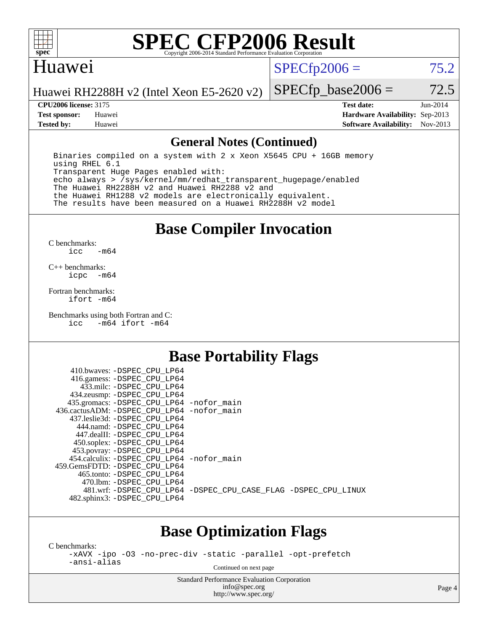

### Huawei

 $SPECTp2006 = 75.2$ 

Huawei RH2288H v2 (Intel Xeon E5-2620 v2)

**[Tested by:](http://www.spec.org/auto/cpu2006/Docs/result-fields.html#Testedby)** Huawei **[Software Availability:](http://www.spec.org/auto/cpu2006/Docs/result-fields.html#SoftwareAvailability)** Nov-2013

 $SPECTp\_base2006 = 72.5$ **[CPU2006 license:](http://www.spec.org/auto/cpu2006/Docs/result-fields.html#CPU2006license)** 3175 **[Test date:](http://www.spec.org/auto/cpu2006/Docs/result-fields.html#Testdate)** Jun-2014 **[Test sponsor:](http://www.spec.org/auto/cpu2006/Docs/result-fields.html#Testsponsor)** Huawei **[Hardware Availability:](http://www.spec.org/auto/cpu2006/Docs/result-fields.html#HardwareAvailability)** Sep-2013

#### **[General Notes \(Continued\)](http://www.spec.org/auto/cpu2006/Docs/result-fields.html#GeneralNotes)**

 Binaries compiled on a system with 2 x Xeon X5645 CPU + 16GB memory using RHEL 6.1 Transparent Huge Pages enabled with: echo always > /sys/kernel/mm/redhat\_transparent\_hugepage/enabled The Huawei RH2288H v2 and Huawei RH2288 v2 and the Huawei RH1288 v2 models are electronically equivalent. The results have been measured on a Huawei RH2288H v2 model

## **[Base Compiler Invocation](http://www.spec.org/auto/cpu2006/Docs/result-fields.html#BaseCompilerInvocation)**

[C benchmarks](http://www.spec.org/auto/cpu2006/Docs/result-fields.html#Cbenchmarks): [icc -m64](http://www.spec.org/cpu2006/results/res2014q3/cpu2006-20140628-30041.flags.html#user_CCbase_intel_icc_64bit_0b7121f5ab7cfabee23d88897260401c)

[C++ benchmarks:](http://www.spec.org/auto/cpu2006/Docs/result-fields.html#CXXbenchmarks) [icpc -m64](http://www.spec.org/cpu2006/results/res2014q3/cpu2006-20140628-30041.flags.html#user_CXXbase_intel_icpc_64bit_bedb90c1146cab66620883ef4f41a67e)

[Fortran benchmarks](http://www.spec.org/auto/cpu2006/Docs/result-fields.html#Fortranbenchmarks): [ifort -m64](http://www.spec.org/cpu2006/results/res2014q3/cpu2006-20140628-30041.flags.html#user_FCbase_intel_ifort_64bit_ee9d0fb25645d0210d97eb0527dcc06e)

[Benchmarks using both Fortran and C](http://www.spec.org/auto/cpu2006/Docs/result-fields.html#BenchmarksusingbothFortranandC): [icc -m64](http://www.spec.org/cpu2006/results/res2014q3/cpu2006-20140628-30041.flags.html#user_CC_FCbase_intel_icc_64bit_0b7121f5ab7cfabee23d88897260401c) [ifort -m64](http://www.spec.org/cpu2006/results/res2014q3/cpu2006-20140628-30041.flags.html#user_CC_FCbase_intel_ifort_64bit_ee9d0fb25645d0210d97eb0527dcc06e)

### **[Base Portability Flags](http://www.spec.org/auto/cpu2006/Docs/result-fields.html#BasePortabilityFlags)**

| 410.bwaves: -DSPEC CPU LP64<br>416.gamess: - DSPEC_CPU_LP64 |                                                                |
|-------------------------------------------------------------|----------------------------------------------------------------|
| 433.milc: -DSPEC CPU LP64                                   |                                                                |
| 434.zeusmp: -DSPEC_CPU_LP64                                 |                                                                |
| 435.gromacs: -DSPEC_CPU_LP64 -nofor_main                    |                                                                |
| 436.cactusADM: -DSPEC_CPU_LP64 -nofor main                  |                                                                |
| 437.leslie3d: -DSPEC CPU LP64                               |                                                                |
| 444.namd: -DSPEC CPU LP64                                   |                                                                |
| 447.dealII: -DSPEC CPU LP64                                 |                                                                |
| 450.soplex: -DSPEC_CPU_LP64                                 |                                                                |
| 453.povray: -DSPEC_CPU_LP64                                 |                                                                |
| 454.calculix: - DSPEC CPU LP64 - nofor main                 |                                                                |
| 459.GemsFDTD: -DSPEC CPU LP64                               |                                                                |
| 465.tonto: - DSPEC CPU LP64                                 |                                                                |
| 470.1bm: - DSPEC CPU LP64                                   |                                                                |
|                                                             | 481.wrf: -DSPEC_CPU_LP64 -DSPEC_CPU_CASE_FLAG -DSPEC_CPU_LINUX |
| 482.sphinx3: -DSPEC_CPU_LP64                                |                                                                |
|                                                             |                                                                |

### **[Base Optimization Flags](http://www.spec.org/auto/cpu2006/Docs/result-fields.html#BaseOptimizationFlags)**

[C benchmarks](http://www.spec.org/auto/cpu2006/Docs/result-fields.html#Cbenchmarks):

[-xAVX](http://www.spec.org/cpu2006/results/res2014q3/cpu2006-20140628-30041.flags.html#user_CCbase_f-xAVX) [-ipo](http://www.spec.org/cpu2006/results/res2014q3/cpu2006-20140628-30041.flags.html#user_CCbase_f-ipo) [-O3](http://www.spec.org/cpu2006/results/res2014q3/cpu2006-20140628-30041.flags.html#user_CCbase_f-O3) [-no-prec-div](http://www.spec.org/cpu2006/results/res2014q3/cpu2006-20140628-30041.flags.html#user_CCbase_f-no-prec-div) [-static](http://www.spec.org/cpu2006/results/res2014q3/cpu2006-20140628-30041.flags.html#user_CCbase_f-static) [-parallel](http://www.spec.org/cpu2006/results/res2014q3/cpu2006-20140628-30041.flags.html#user_CCbase_f-parallel) [-opt-prefetch](http://www.spec.org/cpu2006/results/res2014q3/cpu2006-20140628-30041.flags.html#user_CCbase_f-opt-prefetch) [-ansi-alias](http://www.spec.org/cpu2006/results/res2014q3/cpu2006-20140628-30041.flags.html#user_CCbase_f-ansi-alias)

Continued on next page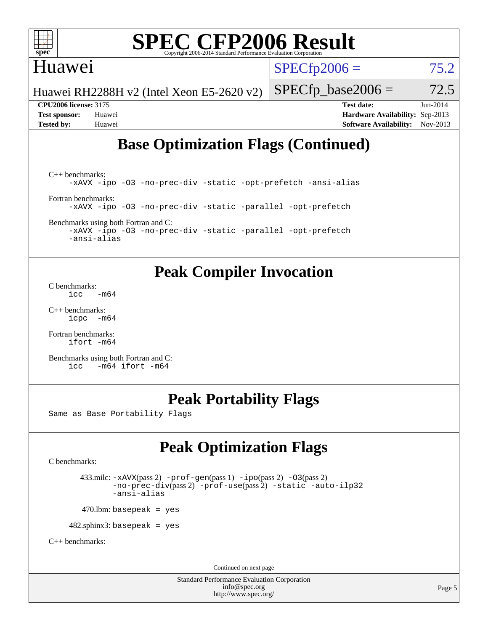

## Huawei

 $SPECfp2006 = 75.2$  $SPECfp2006 = 75.2$ 

Huawei RH2288H v2 (Intel Xeon E5-2620 v2)

**[CPU2006 license:](http://www.spec.org/auto/cpu2006/Docs/result-fields.html#CPU2006license)** 3175 **[Test date:](http://www.spec.org/auto/cpu2006/Docs/result-fields.html#Testdate)** Jun-2014 **[Test sponsor:](http://www.spec.org/auto/cpu2006/Docs/result-fields.html#Testsponsor)** Huawei **[Hardware Availability:](http://www.spec.org/auto/cpu2006/Docs/result-fields.html#HardwareAvailability)** Sep-2013 **[Tested by:](http://www.spec.org/auto/cpu2006/Docs/result-fields.html#Testedby)** Huawei **[Software Availability:](http://www.spec.org/auto/cpu2006/Docs/result-fields.html#SoftwareAvailability)** Nov-2013

 $SPECTp\_base2006 = 72.5$ 

# **[Base Optimization Flags \(Continued\)](http://www.spec.org/auto/cpu2006/Docs/result-fields.html#BaseOptimizationFlags)**

[C++ benchmarks:](http://www.spec.org/auto/cpu2006/Docs/result-fields.html#CXXbenchmarks) [-xAVX](http://www.spec.org/cpu2006/results/res2014q3/cpu2006-20140628-30041.flags.html#user_CXXbase_f-xAVX) [-ipo](http://www.spec.org/cpu2006/results/res2014q3/cpu2006-20140628-30041.flags.html#user_CXXbase_f-ipo) [-O3](http://www.spec.org/cpu2006/results/res2014q3/cpu2006-20140628-30041.flags.html#user_CXXbase_f-O3) [-no-prec-div](http://www.spec.org/cpu2006/results/res2014q3/cpu2006-20140628-30041.flags.html#user_CXXbase_f-no-prec-div) [-static](http://www.spec.org/cpu2006/results/res2014q3/cpu2006-20140628-30041.flags.html#user_CXXbase_f-static) [-opt-prefetch](http://www.spec.org/cpu2006/results/res2014q3/cpu2006-20140628-30041.flags.html#user_CXXbase_f-opt-prefetch) [-ansi-alias](http://www.spec.org/cpu2006/results/res2014q3/cpu2006-20140628-30041.flags.html#user_CXXbase_f-ansi-alias) [Fortran benchmarks](http://www.spec.org/auto/cpu2006/Docs/result-fields.html#Fortranbenchmarks): [-xAVX](http://www.spec.org/cpu2006/results/res2014q3/cpu2006-20140628-30041.flags.html#user_FCbase_f-xAVX) [-ipo](http://www.spec.org/cpu2006/results/res2014q3/cpu2006-20140628-30041.flags.html#user_FCbase_f-ipo) [-O3](http://www.spec.org/cpu2006/results/res2014q3/cpu2006-20140628-30041.flags.html#user_FCbase_f-O3) [-no-prec-div](http://www.spec.org/cpu2006/results/res2014q3/cpu2006-20140628-30041.flags.html#user_FCbase_f-no-prec-div) [-static](http://www.spec.org/cpu2006/results/res2014q3/cpu2006-20140628-30041.flags.html#user_FCbase_f-static) [-parallel](http://www.spec.org/cpu2006/results/res2014q3/cpu2006-20140628-30041.flags.html#user_FCbase_f-parallel) [-opt-prefetch](http://www.spec.org/cpu2006/results/res2014q3/cpu2006-20140628-30041.flags.html#user_FCbase_f-opt-prefetch)

[Benchmarks using both Fortran and C](http://www.spec.org/auto/cpu2006/Docs/result-fields.html#BenchmarksusingbothFortranandC):

[-xAVX](http://www.spec.org/cpu2006/results/res2014q3/cpu2006-20140628-30041.flags.html#user_CC_FCbase_f-xAVX) [-ipo](http://www.spec.org/cpu2006/results/res2014q3/cpu2006-20140628-30041.flags.html#user_CC_FCbase_f-ipo) [-O3](http://www.spec.org/cpu2006/results/res2014q3/cpu2006-20140628-30041.flags.html#user_CC_FCbase_f-O3) [-no-prec-div](http://www.spec.org/cpu2006/results/res2014q3/cpu2006-20140628-30041.flags.html#user_CC_FCbase_f-no-prec-div) [-static](http://www.spec.org/cpu2006/results/res2014q3/cpu2006-20140628-30041.flags.html#user_CC_FCbase_f-static) [-parallel](http://www.spec.org/cpu2006/results/res2014q3/cpu2006-20140628-30041.flags.html#user_CC_FCbase_f-parallel) [-opt-prefetch](http://www.spec.org/cpu2006/results/res2014q3/cpu2006-20140628-30041.flags.html#user_CC_FCbase_f-opt-prefetch) [-ansi-alias](http://www.spec.org/cpu2006/results/res2014q3/cpu2006-20140628-30041.flags.html#user_CC_FCbase_f-ansi-alias)

# **[Peak Compiler Invocation](http://www.spec.org/auto/cpu2006/Docs/result-fields.html#PeakCompilerInvocation)**

[C benchmarks](http://www.spec.org/auto/cpu2006/Docs/result-fields.html#Cbenchmarks):  $\text{icc}$   $-\text{m64}$ 

[C++ benchmarks:](http://www.spec.org/auto/cpu2006/Docs/result-fields.html#CXXbenchmarks) [icpc -m64](http://www.spec.org/cpu2006/results/res2014q3/cpu2006-20140628-30041.flags.html#user_CXXpeak_intel_icpc_64bit_bedb90c1146cab66620883ef4f41a67e)

[Fortran benchmarks](http://www.spec.org/auto/cpu2006/Docs/result-fields.html#Fortranbenchmarks): [ifort -m64](http://www.spec.org/cpu2006/results/res2014q3/cpu2006-20140628-30041.flags.html#user_FCpeak_intel_ifort_64bit_ee9d0fb25645d0210d97eb0527dcc06e)

[Benchmarks using both Fortran and C](http://www.spec.org/auto/cpu2006/Docs/result-fields.html#BenchmarksusingbothFortranandC): [icc -m64](http://www.spec.org/cpu2006/results/res2014q3/cpu2006-20140628-30041.flags.html#user_CC_FCpeak_intel_icc_64bit_0b7121f5ab7cfabee23d88897260401c) [ifort -m64](http://www.spec.org/cpu2006/results/res2014q3/cpu2006-20140628-30041.flags.html#user_CC_FCpeak_intel_ifort_64bit_ee9d0fb25645d0210d97eb0527dcc06e)

# **[Peak Portability Flags](http://www.spec.org/auto/cpu2006/Docs/result-fields.html#PeakPortabilityFlags)**

Same as Base Portability Flags

# **[Peak Optimization Flags](http://www.spec.org/auto/cpu2006/Docs/result-fields.html#PeakOptimizationFlags)**

[C benchmarks](http://www.spec.org/auto/cpu2006/Docs/result-fields.html#Cbenchmarks):

 433.milc: [-xAVX](http://www.spec.org/cpu2006/results/res2014q3/cpu2006-20140628-30041.flags.html#user_peakPASS2_CFLAGSPASS2_LDFLAGS433_milc_f-xAVX)(pass 2) [-prof-gen](http://www.spec.org/cpu2006/results/res2014q3/cpu2006-20140628-30041.flags.html#user_peakPASS1_CFLAGSPASS1_LDFLAGS433_milc_prof_gen_e43856698f6ca7b7e442dfd80e94a8fc)(pass 1) [-ipo](http://www.spec.org/cpu2006/results/res2014q3/cpu2006-20140628-30041.flags.html#user_peakPASS2_CFLAGSPASS2_LDFLAGS433_milc_f-ipo)(pass 2) [-O3](http://www.spec.org/cpu2006/results/res2014q3/cpu2006-20140628-30041.flags.html#user_peakPASS2_CFLAGSPASS2_LDFLAGS433_milc_f-O3)(pass 2) [-no-prec-div](http://www.spec.org/cpu2006/results/res2014q3/cpu2006-20140628-30041.flags.html#user_peakPASS2_CFLAGSPASS2_LDFLAGS433_milc_f-no-prec-div)(pass 2) [-prof-use](http://www.spec.org/cpu2006/results/res2014q3/cpu2006-20140628-30041.flags.html#user_peakPASS2_CFLAGSPASS2_LDFLAGS433_milc_prof_use_bccf7792157ff70d64e32fe3e1250b55)(pass 2) [-static](http://www.spec.org/cpu2006/results/res2014q3/cpu2006-20140628-30041.flags.html#user_peakOPTIMIZE433_milc_f-static) [-auto-ilp32](http://www.spec.org/cpu2006/results/res2014q3/cpu2006-20140628-30041.flags.html#user_peakCOPTIMIZE433_milc_f-auto-ilp32) [-ansi-alias](http://www.spec.org/cpu2006/results/res2014q3/cpu2006-20140628-30041.flags.html#user_peakCOPTIMIZE433_milc_f-ansi-alias)

 $470.$ lbm: basepeak = yes

482.sphinx3: basepeak = yes

[C++ benchmarks:](http://www.spec.org/auto/cpu2006/Docs/result-fields.html#CXXbenchmarks)

Continued on next page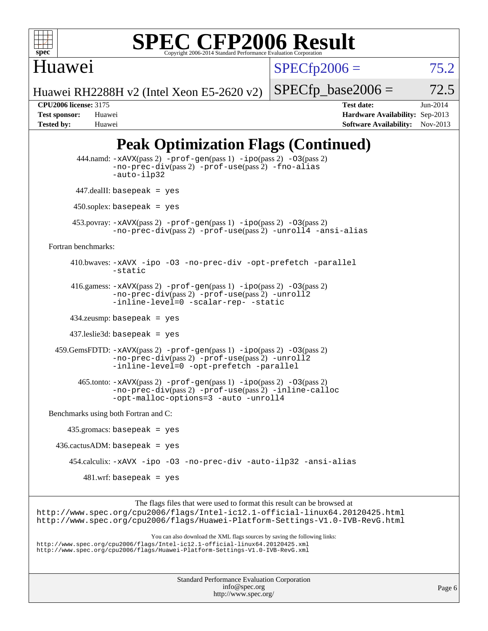

 $SPECTp2006 = 75.2$ 

Huawei RH2288H v2 (Intel Xeon E5-2620 v2)

 $SPECTp\_base2006 = 72.5$ 

Huawei

**[CPU2006 license:](http://www.spec.org/auto/cpu2006/Docs/result-fields.html#CPU2006license)** 3175 **[Test date:](http://www.spec.org/auto/cpu2006/Docs/result-fields.html#Testdate)** Jun-2014 **[Test sponsor:](http://www.spec.org/auto/cpu2006/Docs/result-fields.html#Testsponsor)** Huawei **[Hardware Availability:](http://www.spec.org/auto/cpu2006/Docs/result-fields.html#HardwareAvailability)** Sep-2013 **[Tested by:](http://www.spec.org/auto/cpu2006/Docs/result-fields.html#Testedby)** Huawei **[Software Availability:](http://www.spec.org/auto/cpu2006/Docs/result-fields.html#SoftwareAvailability)** Nov-2013

# **[Peak Optimization Flags \(Continued\)](http://www.spec.org/auto/cpu2006/Docs/result-fields.html#PeakOptimizationFlags)**

 444.namd: [-xAVX](http://www.spec.org/cpu2006/results/res2014q3/cpu2006-20140628-30041.flags.html#user_peakPASS2_CXXFLAGSPASS2_LDFLAGS444_namd_f-xAVX)(pass 2) [-prof-gen](http://www.spec.org/cpu2006/results/res2014q3/cpu2006-20140628-30041.flags.html#user_peakPASS1_CXXFLAGSPASS1_LDFLAGS444_namd_prof_gen_e43856698f6ca7b7e442dfd80e94a8fc)(pass 1) [-ipo](http://www.spec.org/cpu2006/results/res2014q3/cpu2006-20140628-30041.flags.html#user_peakPASS2_CXXFLAGSPASS2_LDFLAGS444_namd_f-ipo)(pass 2) [-O3](http://www.spec.org/cpu2006/results/res2014q3/cpu2006-20140628-30041.flags.html#user_peakPASS2_CXXFLAGSPASS2_LDFLAGS444_namd_f-O3)(pass 2) [-no-prec-div](http://www.spec.org/cpu2006/results/res2014q3/cpu2006-20140628-30041.flags.html#user_peakPASS2_CXXFLAGSPASS2_LDFLAGS444_namd_f-no-prec-div)(pass 2) [-prof-use](http://www.spec.org/cpu2006/results/res2014q3/cpu2006-20140628-30041.flags.html#user_peakPASS2_CXXFLAGSPASS2_LDFLAGS444_namd_prof_use_bccf7792157ff70d64e32fe3e1250b55)(pass 2) [-fno-alias](http://www.spec.org/cpu2006/results/res2014q3/cpu2006-20140628-30041.flags.html#user_peakCXXOPTIMIZEOPTIMIZE444_namd_f-no-alias_694e77f6c5a51e658e82ccff53a9e63a) [-auto-ilp32](http://www.spec.org/cpu2006/results/res2014q3/cpu2006-20140628-30041.flags.html#user_peakCXXOPTIMIZE444_namd_f-auto-ilp32) 447.dealII: basepeak = yes 450.soplex: basepeak = yes 453.povray: [-xAVX](http://www.spec.org/cpu2006/results/res2014q3/cpu2006-20140628-30041.flags.html#user_peakPASS2_CXXFLAGSPASS2_LDFLAGS453_povray_f-xAVX)(pass 2) [-prof-gen](http://www.spec.org/cpu2006/results/res2014q3/cpu2006-20140628-30041.flags.html#user_peakPASS1_CXXFLAGSPASS1_LDFLAGS453_povray_prof_gen_e43856698f6ca7b7e442dfd80e94a8fc)(pass 1) [-ipo](http://www.spec.org/cpu2006/results/res2014q3/cpu2006-20140628-30041.flags.html#user_peakPASS2_CXXFLAGSPASS2_LDFLAGS453_povray_f-ipo)(pass 2) [-O3](http://www.spec.org/cpu2006/results/res2014q3/cpu2006-20140628-30041.flags.html#user_peakPASS2_CXXFLAGSPASS2_LDFLAGS453_povray_f-O3)(pass 2) [-no-prec-div](http://www.spec.org/cpu2006/results/res2014q3/cpu2006-20140628-30041.flags.html#user_peakPASS2_CXXFLAGSPASS2_LDFLAGS453_povray_f-no-prec-div)(pass 2) [-prof-use](http://www.spec.org/cpu2006/results/res2014q3/cpu2006-20140628-30041.flags.html#user_peakPASS2_CXXFLAGSPASS2_LDFLAGS453_povray_prof_use_bccf7792157ff70d64e32fe3e1250b55)(pass 2) [-unroll4](http://www.spec.org/cpu2006/results/res2014q3/cpu2006-20140628-30041.flags.html#user_peakCXXOPTIMIZE453_povray_f-unroll_4e5e4ed65b7fd20bdcd365bec371b81f) [-ansi-alias](http://www.spec.org/cpu2006/results/res2014q3/cpu2006-20140628-30041.flags.html#user_peakCXXOPTIMIZE453_povray_f-ansi-alias) [Fortran benchmarks](http://www.spec.org/auto/cpu2006/Docs/result-fields.html#Fortranbenchmarks): 410.bwaves: [-xAVX](http://www.spec.org/cpu2006/results/res2014q3/cpu2006-20140628-30041.flags.html#user_peakOPTIMIZE410_bwaves_f-xAVX) [-ipo](http://www.spec.org/cpu2006/results/res2014q3/cpu2006-20140628-30041.flags.html#user_peakOPTIMIZE410_bwaves_f-ipo) [-O3](http://www.spec.org/cpu2006/results/res2014q3/cpu2006-20140628-30041.flags.html#user_peakOPTIMIZE410_bwaves_f-O3) [-no-prec-div](http://www.spec.org/cpu2006/results/res2014q3/cpu2006-20140628-30041.flags.html#user_peakOPTIMIZE410_bwaves_f-no-prec-div) [-opt-prefetch](http://www.spec.org/cpu2006/results/res2014q3/cpu2006-20140628-30041.flags.html#user_peakOPTIMIZE410_bwaves_f-opt-prefetch) [-parallel](http://www.spec.org/cpu2006/results/res2014q3/cpu2006-20140628-30041.flags.html#user_peakOPTIMIZE410_bwaves_f-parallel) [-static](http://www.spec.org/cpu2006/results/res2014q3/cpu2006-20140628-30041.flags.html#user_peakOPTIMIZE410_bwaves_f-static) 416.gamess: [-xAVX](http://www.spec.org/cpu2006/results/res2014q3/cpu2006-20140628-30041.flags.html#user_peakPASS2_FFLAGSPASS2_LDFLAGS416_gamess_f-xAVX)(pass 2) [-prof-gen](http://www.spec.org/cpu2006/results/res2014q3/cpu2006-20140628-30041.flags.html#user_peakPASS1_FFLAGSPASS1_LDFLAGS416_gamess_prof_gen_e43856698f6ca7b7e442dfd80e94a8fc)(pass 1) [-ipo](http://www.spec.org/cpu2006/results/res2014q3/cpu2006-20140628-30041.flags.html#user_peakPASS2_FFLAGSPASS2_LDFLAGS416_gamess_f-ipo)(pass 2) [-O3](http://www.spec.org/cpu2006/results/res2014q3/cpu2006-20140628-30041.flags.html#user_peakPASS2_FFLAGSPASS2_LDFLAGS416_gamess_f-O3)(pass 2) [-no-prec-div](http://www.spec.org/cpu2006/results/res2014q3/cpu2006-20140628-30041.flags.html#user_peakPASS2_FFLAGSPASS2_LDFLAGS416_gamess_f-no-prec-div)(pass 2) [-prof-use](http://www.spec.org/cpu2006/results/res2014q3/cpu2006-20140628-30041.flags.html#user_peakPASS2_FFLAGSPASS2_LDFLAGS416_gamess_prof_use_bccf7792157ff70d64e32fe3e1250b55)(pass 2) [-unroll2](http://www.spec.org/cpu2006/results/res2014q3/cpu2006-20140628-30041.flags.html#user_peakOPTIMIZE416_gamess_f-unroll_784dae83bebfb236979b41d2422d7ec2) [-inline-level=0](http://www.spec.org/cpu2006/results/res2014q3/cpu2006-20140628-30041.flags.html#user_peakOPTIMIZE416_gamess_f-inline-level_318d07a09274ad25e8d15dbfaa68ba50) [-scalar-rep-](http://www.spec.org/cpu2006/results/res2014q3/cpu2006-20140628-30041.flags.html#user_peakOPTIMIZE416_gamess_f-disablescalarrep_abbcad04450fb118e4809c81d83c8a1d) [-static](http://www.spec.org/cpu2006/results/res2014q3/cpu2006-20140628-30041.flags.html#user_peakOPTIMIZE416_gamess_f-static) 434.zeusmp: basepeak = yes 437.leslie3d: basepeak = yes 459.GemsFDTD: [-xAVX](http://www.spec.org/cpu2006/results/res2014q3/cpu2006-20140628-30041.flags.html#user_peakPASS2_FFLAGSPASS2_LDFLAGS459_GemsFDTD_f-xAVX)(pass 2) [-prof-gen](http://www.spec.org/cpu2006/results/res2014q3/cpu2006-20140628-30041.flags.html#user_peakPASS1_FFLAGSPASS1_LDFLAGS459_GemsFDTD_prof_gen_e43856698f6ca7b7e442dfd80e94a8fc)(pass 1) [-ipo](http://www.spec.org/cpu2006/results/res2014q3/cpu2006-20140628-30041.flags.html#user_peakPASS2_FFLAGSPASS2_LDFLAGS459_GemsFDTD_f-ipo)(pass 2) [-O3](http://www.spec.org/cpu2006/results/res2014q3/cpu2006-20140628-30041.flags.html#user_peakPASS2_FFLAGSPASS2_LDFLAGS459_GemsFDTD_f-O3)(pass 2) [-no-prec-div](http://www.spec.org/cpu2006/results/res2014q3/cpu2006-20140628-30041.flags.html#user_peakPASS2_FFLAGSPASS2_LDFLAGS459_GemsFDTD_f-no-prec-div)(pass 2) [-prof-use](http://www.spec.org/cpu2006/results/res2014q3/cpu2006-20140628-30041.flags.html#user_peakPASS2_FFLAGSPASS2_LDFLAGS459_GemsFDTD_prof_use_bccf7792157ff70d64e32fe3e1250b55)(pass 2) [-unroll2](http://www.spec.org/cpu2006/results/res2014q3/cpu2006-20140628-30041.flags.html#user_peakOPTIMIZE459_GemsFDTD_f-unroll_784dae83bebfb236979b41d2422d7ec2) [-inline-level=0](http://www.spec.org/cpu2006/results/res2014q3/cpu2006-20140628-30041.flags.html#user_peakOPTIMIZE459_GemsFDTD_f-inline-level_318d07a09274ad25e8d15dbfaa68ba50) [-opt-prefetch](http://www.spec.org/cpu2006/results/res2014q3/cpu2006-20140628-30041.flags.html#user_peakOPTIMIZE459_GemsFDTD_f-opt-prefetch) [-parallel](http://www.spec.org/cpu2006/results/res2014q3/cpu2006-20140628-30041.flags.html#user_peakOPTIMIZE459_GemsFDTD_f-parallel) 465.tonto: [-xAVX](http://www.spec.org/cpu2006/results/res2014q3/cpu2006-20140628-30041.flags.html#user_peakPASS2_FFLAGSPASS2_LDFLAGS465_tonto_f-xAVX)(pass 2) [-prof-gen](http://www.spec.org/cpu2006/results/res2014q3/cpu2006-20140628-30041.flags.html#user_peakPASS1_FFLAGSPASS1_LDFLAGS465_tonto_prof_gen_e43856698f6ca7b7e442dfd80e94a8fc)(pass 1) [-ipo](http://www.spec.org/cpu2006/results/res2014q3/cpu2006-20140628-30041.flags.html#user_peakPASS2_FFLAGSPASS2_LDFLAGS465_tonto_f-ipo)(pass 2) [-O3](http://www.spec.org/cpu2006/results/res2014q3/cpu2006-20140628-30041.flags.html#user_peakPASS2_FFLAGSPASS2_LDFLAGS465_tonto_f-O3)(pass 2) [-no-prec-div](http://www.spec.org/cpu2006/results/res2014q3/cpu2006-20140628-30041.flags.html#user_peakPASS2_FFLAGSPASS2_LDFLAGS465_tonto_f-no-prec-div)(pass 2) [-prof-use](http://www.spec.org/cpu2006/results/res2014q3/cpu2006-20140628-30041.flags.html#user_peakPASS2_FFLAGSPASS2_LDFLAGS465_tonto_prof_use_bccf7792157ff70d64e32fe3e1250b55)(pass 2) [-inline-calloc](http://www.spec.org/cpu2006/results/res2014q3/cpu2006-20140628-30041.flags.html#user_peakOPTIMIZE465_tonto_f-inline-calloc) [-opt-malloc-options=3](http://www.spec.org/cpu2006/results/res2014q3/cpu2006-20140628-30041.flags.html#user_peakOPTIMIZE465_tonto_f-opt-malloc-options_13ab9b803cf986b4ee62f0a5998c2238) [-auto](http://www.spec.org/cpu2006/results/res2014q3/cpu2006-20140628-30041.flags.html#user_peakOPTIMIZE465_tonto_f-auto) [-unroll4](http://www.spec.org/cpu2006/results/res2014q3/cpu2006-20140628-30041.flags.html#user_peakOPTIMIZE465_tonto_f-unroll_4e5e4ed65b7fd20bdcd365bec371b81f) [Benchmarks using both Fortran and C](http://www.spec.org/auto/cpu2006/Docs/result-fields.html#BenchmarksusingbothFortranandC): 435.gromacs: basepeak = yes  $436$ .cactusADM: basepeak = yes 454.calculix: [-xAVX](http://www.spec.org/cpu2006/results/res2014q3/cpu2006-20140628-30041.flags.html#user_peakOPTIMIZE454_calculix_f-xAVX) [-ipo](http://www.spec.org/cpu2006/results/res2014q3/cpu2006-20140628-30041.flags.html#user_peakOPTIMIZE454_calculix_f-ipo) [-O3](http://www.spec.org/cpu2006/results/res2014q3/cpu2006-20140628-30041.flags.html#user_peakOPTIMIZE454_calculix_f-O3) [-no-prec-div](http://www.spec.org/cpu2006/results/res2014q3/cpu2006-20140628-30041.flags.html#user_peakOPTIMIZE454_calculix_f-no-prec-div) [-auto-ilp32](http://www.spec.org/cpu2006/results/res2014q3/cpu2006-20140628-30041.flags.html#user_peakCOPTIMIZE454_calculix_f-auto-ilp32) [-ansi-alias](http://www.spec.org/cpu2006/results/res2014q3/cpu2006-20140628-30041.flags.html#user_peakCOPTIMIZE454_calculix_f-ansi-alias) 481.wrf: basepeak = yes The flags files that were used to format this result can be browsed at <http://www.spec.org/cpu2006/flags/Intel-ic12.1-official-linux64.20120425.html> <http://www.spec.org/cpu2006/flags/Huawei-Platform-Settings-V1.0-IVB-RevG.html> You can also download the XML flags sources by saving the following links:

<http://www.spec.org/cpu2006/flags/Intel-ic12.1-official-linux64.20120425.xml> <http://www.spec.org/cpu2006/flags/Huawei-Platform-Settings-V1.0-IVB-RevG.xml>